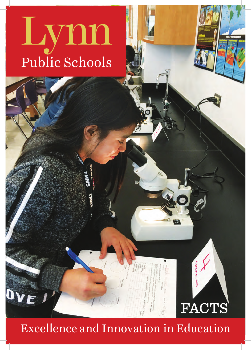# Public Schools ynn

## Excellence and Innovation in Education

FACTS

**CARGOONE**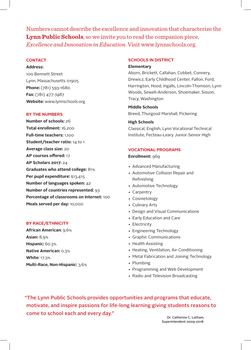Numbers cannot describe the excellence and innovation that characterize the **Lynn Public Schools**, so we invite you to read the companion piece, *Excellence and Innovation in Education*. Visit www.lynnschools.org.

#### **CONTACT**

**Address:** 

100 Bennett Street Lynn, Massachusetts 01905 **Phone:** (781) 593-1680 **Fax:** (781) 477-7487 **Website:** www.lynnschools.org

#### **BY THE NUMBERS**

**Number of schools:** 26 **Total enrollment:** 16,200 **Full-time teachers:** 1,100 **Student/teacher ratio:** 14 to 1 **Average class size:** 20 **AP courses offered:** 17 **AP Scholars 2017:** 24 **Graduates who attend college:** 81% **Per pupil expenditure:** \$13,415 **Number of languages spoken:** 42 **Number of countries represented:** 93 **Percentage of classrooms on Internet:** 100 **Meals served per day:** 10,000

#### **BY RACE/ETHNICITY**

**African American:** 9.6% **Asian:** 8.9% **Hispanic:** 60.3% **Native American:** 0.3% **White:** 17.3% **Multi-Race, Non-Hispanic:** 3.6%

#### **SCHOOLS IN DISTRICT Elementary**

Aborn, Brickett, Callahan, Cobbet, Connery, Drewicz, Early Childhood Center, Fallon, Ford, Harrington, Hood, Ingalls, Lincoln-Thomson, Lynn Woods, Sewell-Anderson, Shoemaker, Sisson, Tracy, Washington

**Middle Schools** Breed, Thurgood Marshall, Pickering

#### **High Schools**

Classical, English, Lynn Vocational Technical Institute, Fecteau-Leary Junior-Senior High

#### **VOCATIONAL PROGRAMS**

#### **Enrollment:** 969

- Advanced Manufacturing
- Automotive Collision Repair and Refinishing
- Automotive Technology
- Carpentry
- Cosmetology
- Culinary Arts
- Design and Visual Communications
- Early Education and Care
- Electricity
- Engineering Technology
- Graphic Communications
- Health Assisting
- Heating, Ventilation, Air Conditioning
- Metal Fabrication and Joining Technology
- Plumbing
- Programming and Web Development
- Radio and Television Broadcasting

"The Lynn Public Schools provides opportunities and programs that educate, motivate, and inspire passions for life-long learning giving students reasons to come to school each and every day."

Dr. Catherine C. Latham, Superintendent 2009-2018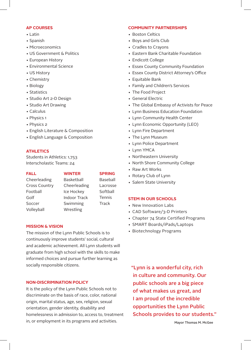#### **AP COURSES**

- Latin
- Spanish
- Microeconomics
- US Government & Politics
- European History
- Environmental Science
- US History
- Chemistry
- Biology
- Statistics
- Studio Art 2-D Design
- Studio Art Drawing
- Calculus
- Physics 1
- Physics 2
- English Literature & Composition
- English Language & Composition

#### **ATHLETICS**

Students in Athletics: 1,753 Interscholastic Teams: 24

#### **FALL**

#### **WINTER**

### **SPRING**

Cheerleading Cross Country Football Golf Soccer Volleyball

Cheerleading Ice Hockey Indoor Track Swimming Wrestling

#### **MISSION & VISION**

The mission of the Lynn Public Schools is to continuously improve students' social, cultural and academic achievement. All Lynn students will graduate from high school with the skills to make informed choices and pursue further learning as socially responsible citizens.

#### **NON-DISCRIMINATION POLICY**

It is the policy of the Lynn Public Schools not to discriminate on the basis of race, color, national origin, marital status, age, sex, religion, sexual orientation, gender identity, disability and homelessness in admission to, access to, treatment in, or employment in its programs and activities.

#### **COMMUNITY PARTNERSHIPS**

- Boston Celtics
- Boys and Girls Club
- Cradles to Crayons
- Eastern Bank Charitable Foundation
- Endicott College
- Essex County Community Foundation
- Essex County District Attorney's Office
- Equitable Bank
- Family and Children's Services
- The Food Project
- General Electric
- The Global Embassy of Activists for Peace
- Lynn Business Education Foundation
- Lynn Community Health Center
- Lynn Economic Opportunity (LEO)
- Lynn Fire Department
- The Lynn Museum
- Lynn Police Department
- Lynn YMCA
- Northeastern University
- North Shore Community College
- Raw Art Works
- Rotary Club of Lynn
- Salem State University

#### **STEM IN OUR SCHOOLS**

- New Innovation Labs
- CAD Software/3-D Printers
- Chapter 74 State Certified Programs
- SMART Boards/iPads/Laptops
- Biotechnology Programs

"Lynn is a wonderful city, rich in culture and community. Our public schools are a big piece of what makes us great, and I am proud of the incredible opportunities the Lynn Public Schools provides to our students."

**Basketball** Baseball Lacrosse **Softball** Tennis Track